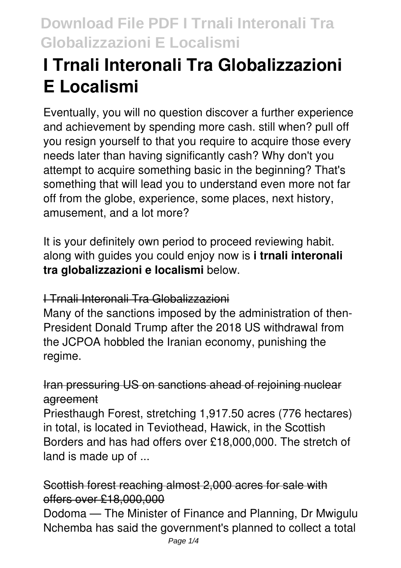# **I Trnali Interonali Tra Globalizzazioni E Localismi**

Eventually, you will no question discover a further experience and achievement by spending more cash. still when? pull off you resign yourself to that you require to acquire those every needs later than having significantly cash? Why don't you attempt to acquire something basic in the beginning? That's something that will lead you to understand even more not far off from the globe, experience, some places, next history, amusement, and a lot more?

It is your definitely own period to proceed reviewing habit. along with guides you could enjoy now is **i trnali interonali tra globalizzazioni e localismi** below.

## I Trnali Interonali Tra Globalizzazioni

Many of the sanctions imposed by the administration of then-President Donald Trump after the 2018 US withdrawal from the JCPOA hobbled the Iranian economy, punishing the regime.

## Iran pressuring US on sanctions ahead of rejoining nuclear agreement

Priesthaugh Forest, stretching 1,917.50 acres (776 hectares) in total, is located in Teviothead, Hawick, in the Scottish Borders and has had offers over £18,000,000. The stretch of land is made up of ...

## Scottish forest reaching almost 2,000 acres for sale with offers over £18,000,000

Dodoma — The Minister of Finance and Planning, Dr Mwigulu Nchemba has said the government's planned to collect a total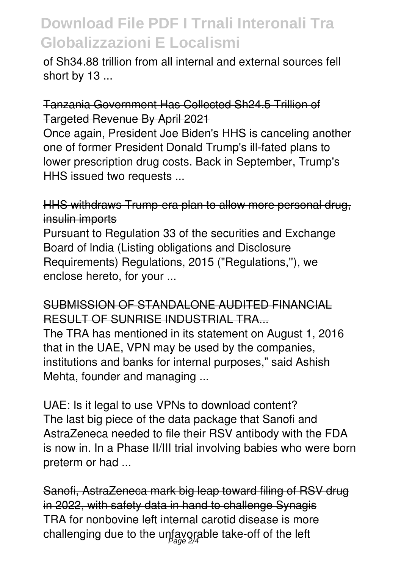# **Download File PDF I Trnali Interonali Tra Globalizzazioni E Localismi**

of Sh34.88 trillion from all internal and external sources fell short by 13 ...

Tanzania Government Has Collected Sh24.5 Trillion of Targeted Revenue By April 2021

Once again, President Joe Biden's HHS is canceling another one of former President Donald Trump's ill-fated plans to lower prescription drug costs. Back in September, Trump's HHS issued two requests ...

HHS withdraws Trump-era plan to allow more personal drug, insulin imports

Pursuant to Regulation 33 of the securities and Exchange Board of lndia (Listing obligations and Disclosure Requirements) Regulations, 2015 ("Regulations,''), we enclose hereto, for your ...

#### SUBMISSION OF STANDALONE AUDITED FINANCIAL RESULT OF SUNRISE INDUSTRIAL TRA...

The TRA has mentioned in its statement on August 1, 2016 that in the UAE, VPN may be used by the companies, institutions and banks for internal purposes," said Ashish Mehta, founder and managing ...

UAE: Is it legal to use VPNs to download content? The last big piece of the data package that Sanofi and AstraZeneca needed to file their RSV antibody with the FDA is now in. In a Phase II/III trial involving babies who were born preterm or had ...

Sanofi, AstraZeneca mark big leap toward filing of RSV drug in 2022, with safety data in hand to challenge Synagis TRA for nonbovine left internal carotid disease is more challenging due to the unfayorable take-off of the left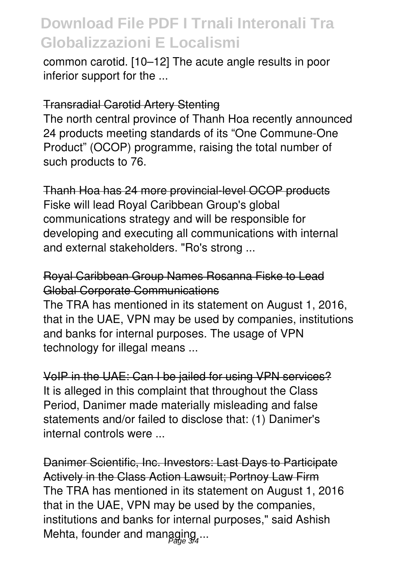# **Download File PDF I Trnali Interonali Tra Globalizzazioni E Localismi**

common carotid. [10–12] The acute angle results in poor inferior support for the ...

#### Transradial Carotid Artery Stenting

The north central province of Thanh Hoa recently announced 24 products meeting standards of its "One Commune-One Product" (OCOP) programme, raising the total number of such products to 76.

Thanh Hoa has 24 more provincial-level OCOP products Fiske will lead Royal Caribbean Group's global communications strategy and will be responsible for developing and executing all communications with internal and external stakeholders. "Ro's strong ...

#### Royal Caribbean Group Names Rosanna Fiske to Lead Global Corporate Communications

The TRA has mentioned in its statement on August 1, 2016, that in the UAE, VPN may be used by companies, institutions and banks for internal purposes. The usage of VPN technology for illegal means ...

VoIP in the UAE: Can I be jailed for using VPN services? It is alleged in this complaint that throughout the Class Period, Danimer made materially misleading and false statements and/or failed to disclose that: (1) Danimer's internal controls were ...

Danimer Scientific, Inc. Investors: Last Days to Participate Actively in the Class Action Lawsuit; Portnoy Law Firm The TRA has mentioned in its statement on August 1, 2016 that in the UAE, VPN may be used by the companies, institutions and banks for internal purposes," said Ashish Mehta, founder and managing...